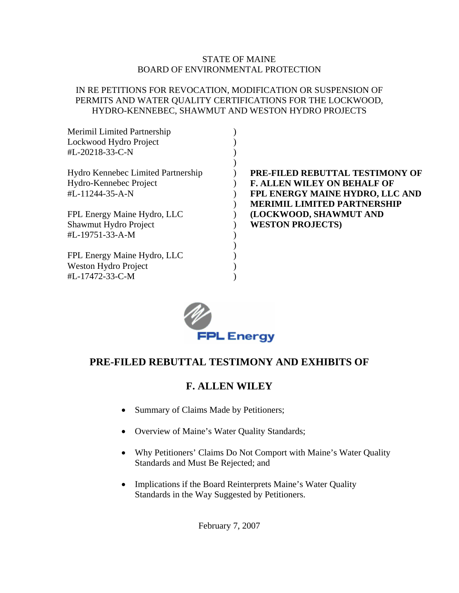### STATE OF MAINE BOARD OF ENVIRONMENTAL PROTECTION

## IN RE PETITIONS FOR REVOCATION, MODIFICATION OR SUSPENSION OF PERMITS AND WATER QUALITY CERTIFICATIONS FOR THE LOCKWOOD, HYDRO-KENNEBEC, SHAWMUT AND WESTON HYDRO PROJECTS

| <b>Merimil Limited Partnership</b> |                                    |
|------------------------------------|------------------------------------|
| Lockwood Hydro Project             |                                    |
| #L-20218-33-C-N                    |                                    |
|                                    |                                    |
| Hydro Kennebec Limited Partnership | PRE-FILED REBUTTAL TESTIMONY OF    |
| Hydro-Kennebec Project             | <b>F. ALLEN WILEY ON BEHALF OF</b> |
| #L-11244-35-A-N                    | FPL ENERGY MAINE HYDRO, LLC AND    |
|                                    | <b>MERIMIL LIMITED PARTNERSHIP</b> |
| FPL Energy Maine Hydro, LLC        | (LOCKWOOD, SHAWMUT AND             |
| Shawmut Hydro Project              | <b>WESTON PROJECTS)</b>            |
| #L-19751-33-A-M                    |                                    |
|                                    |                                    |
| FPL Energy Maine Hydro, LLC        |                                    |
| Weston Hydro Project               |                                    |
| #L-17472-33-C-M                    |                                    |



## **PRE-FILED REBUTTAL TESTIMONY AND EXHIBITS OF**

## **F. ALLEN WILEY**

- Summary of Claims Made by Petitioners;
- Overview of Maine's Water Quality Standards;
- Why Petitioners' Claims Do Not Comport with Maine's Water Quality Standards and Must Be Rejected; and
- Implications if the Board Reinterprets Maine's Water Quality Standards in the Way Suggested by Petitioners.

February 7, 2007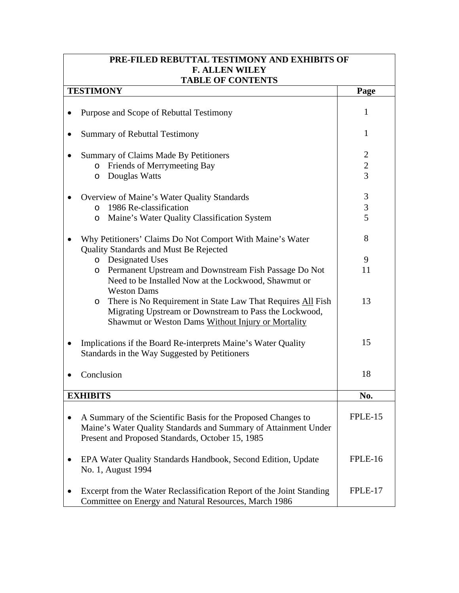| PRE-FILED REBUTTAL TESTIMONY AND EXHIBITS OF                                                                                                                                           |                |  |  |  |
|----------------------------------------------------------------------------------------------------------------------------------------------------------------------------------------|----------------|--|--|--|
| <b>F. ALLEN WILEY</b>                                                                                                                                                                  |                |  |  |  |
| <b>TABLE OF CONTENTS</b><br><b>TESTIMONY</b>                                                                                                                                           | Page           |  |  |  |
|                                                                                                                                                                                        |                |  |  |  |
| Purpose and Scope of Rebuttal Testimony                                                                                                                                                | 1              |  |  |  |
| <b>Summary of Rebuttal Testimony</b>                                                                                                                                                   | $\mathbf{1}$   |  |  |  |
| Summary of Claims Made By Petitioners                                                                                                                                                  | $\overline{2}$ |  |  |  |
| o Friends of Merrymeeting Bay                                                                                                                                                          | $\overline{c}$ |  |  |  |
| Douglas Watts<br>$\circ$                                                                                                                                                               | $\overline{3}$ |  |  |  |
| Overview of Maine's Water Quality Standards                                                                                                                                            | 3              |  |  |  |
| 1986 Re-classification<br>$\circ$                                                                                                                                                      | 3              |  |  |  |
| Maine's Water Quality Classification System<br>$\circ$                                                                                                                                 | 5              |  |  |  |
| Why Petitioners' Claims Do Not Comport With Maine's Water<br>Quality Standards and Must Be Rejected                                                                                    | 8              |  |  |  |
| o Designated Uses                                                                                                                                                                      | 9              |  |  |  |
| Permanent Upstream and Downstream Fish Passage Do Not<br>$\circ$<br>Need to be Installed Now at the Lockwood, Shawmut or<br><b>Weston Dams</b>                                         | 11             |  |  |  |
| There is No Requirement in State Law That Requires All Fish<br>$\circ$<br>Migrating Upstream or Downstream to Pass the Lockwood,<br>Shawmut or Weston Dams Without Injury or Mortality | 13             |  |  |  |
| Implications if the Board Re-interprets Maine's Water Quality<br>Standards in the Way Suggested by Petitioners                                                                         | 15             |  |  |  |
| Conclusion                                                                                                                                                                             | 18             |  |  |  |
| <b>EXHIBITS</b>                                                                                                                                                                        | No.            |  |  |  |
| A Summary of the Scientific Basis for the Proposed Changes to<br>Maine's Water Quality Standards and Summary of Attainment Under<br>Present and Proposed Standards, October 15, 1985   | FPLE-15        |  |  |  |
| EPA Water Quality Standards Handbook, Second Edition, Update<br>No. 1, August 1994                                                                                                     | FPLE-16        |  |  |  |
| Excerpt from the Water Reclassification Report of the Joint Standing<br>Committee on Energy and Natural Resources, March 1986                                                          | FPLE-17        |  |  |  |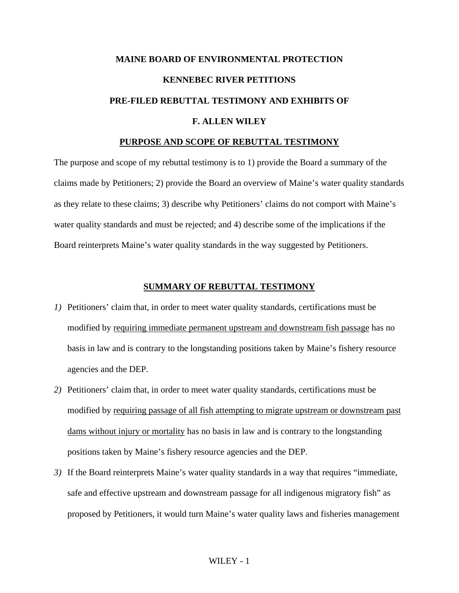# **MAINE BOARD OF ENVIRONMENTAL PROTECTION KENNEBEC RIVER PETITIONS PRE-FILED REBUTTAL TESTIMONY AND EXHIBITS OF F. ALLEN WILEY**

### **PURPOSE AND SCOPE OF REBUTTAL TESTIMONY**

The purpose and scope of my rebuttal testimony is to 1) provide the Board a summary of the claims made by Petitioners; 2) provide the Board an overview of Maine's water quality standards as they relate to these claims; 3) describe why Petitioners' claims do not comport with Maine's water quality standards and must be rejected; and 4) describe some of the implications if the Board reinterprets Maine's water quality standards in the way suggested by Petitioners.

### **SUMMARY OF REBUTTAL TESTIMONY**

- *1)* Petitioners' claim that, in order to meet water quality standards, certifications must be modified by requiring immediate permanent upstream and downstream fish passage has no basis in law and is contrary to the longstanding positions taken by Maine's fishery resource agencies and the DEP.
- *2)* Petitioners' claim that, in order to meet water quality standards, certifications must be modified by requiring passage of all fish attempting to migrate upstream or downstream past dams without injury or mortality has no basis in law and is contrary to the longstanding positions taken by Maine's fishery resource agencies and the DEP.
- *3)* If the Board reinterprets Maine's water quality standards in a way that requires "immediate, safe and effective upstream and downstream passage for all indigenous migratory fish" as proposed by Petitioners, it would turn Maine's water quality laws and fisheries management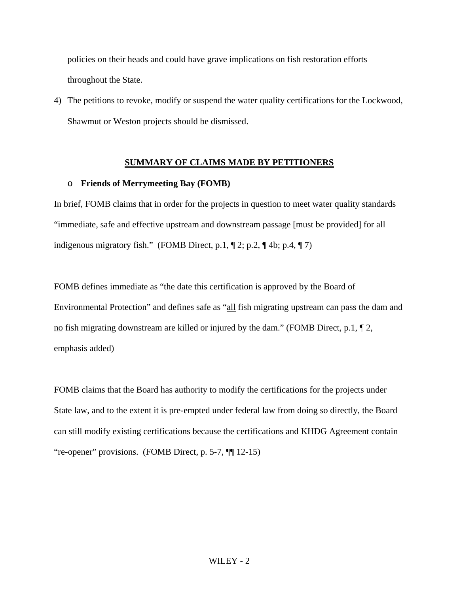policies on their heads and could have grave implications on fish restoration efforts throughout the State.

4) The petitions to revoke, modify or suspend the water quality certifications for the Lockwood, Shawmut or Weston projects should be dismissed.

### **SUMMARY OF CLAIMS MADE BY PETITIONERS**

### o **Friends of Merrymeeting Bay (FOMB)**

In brief, FOMB claims that in order for the projects in question to meet water quality standards "immediate, safe and effective upstream and downstream passage [must be provided] for all indigenous migratory fish." (FOMB Direct, p.1, ¶ 2; p.2, ¶ 4b; p.4, ¶ 7)

FOMB defines immediate as "the date this certification is approved by the Board of Environmental Protection" and defines safe as "all fish migrating upstream can pass the dam and no fish migrating downstream are killed or injured by the dam." (FOMB Direct, p.1,  $\P$  2, emphasis added)

FOMB claims that the Board has authority to modify the certifications for the projects under State law, and to the extent it is pre-empted under federal law from doing so directly, the Board can still modify existing certifications because the certifications and KHDG Agreement contain "re-opener" provisions. (FOMB Direct, p. 5-7, ¶¶ 12-15)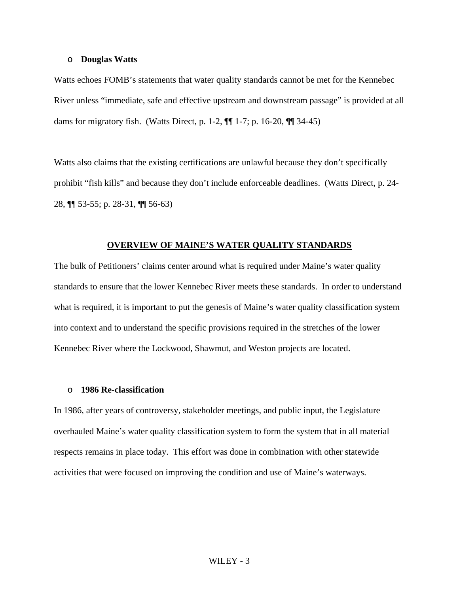### o **Douglas Watts**

Watts echoes FOMB's statements that water quality standards cannot be met for the Kennebec River unless "immediate, safe and effective upstream and downstream passage" is provided at all dams for migratory fish. (Watts Direct, p. 1-2, ¶¶ 1-7; p. 16-20, ¶¶ 34-45)

Watts also claims that the existing certifications are unlawful because they don't specifically prohibit "fish kills" and because they don't include enforceable deadlines. (Watts Direct, p. 24- 28, ¶¶ 53-55; p. 28-31, ¶¶ 56-63)

#### **OVERVIEW OF MAINE'S WATER QUALITY STANDARDS**

The bulk of Petitioners' claims center around what is required under Maine's water quality standards to ensure that the lower Kennebec River meets these standards. In order to understand what is required, it is important to put the genesis of Maine's water quality classification system into context and to understand the specific provisions required in the stretches of the lower Kennebec River where the Lockwood, Shawmut, and Weston projects are located.

### o **1986 Re-classification**

In 1986, after years of controversy, stakeholder meetings, and public input, the Legislature overhauled Maine's water quality classification system to form the system that in all material respects remains in place today. This effort was done in combination with other statewide activities that were focused on improving the condition and use of Maine's waterways.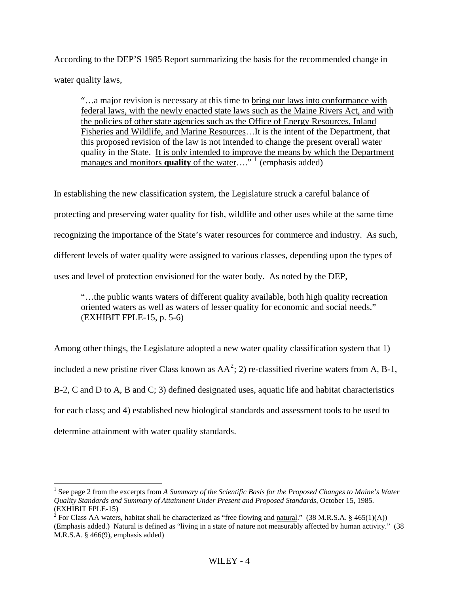According to the DEP'S 1985 Report summarizing the basis for the recommended change in water quality laws,

"…a major revision is necessary at this time to bring our laws into conformance with federal laws, with the newly enacted state laws such as the Maine Rivers Act, and with the policies of other state agencies such as the Office of Energy Resources, Inland Fisheries and Wildlife, and Marine Resources…It is the intent of the Department, that this proposed revision of the law is not intended to change the present overall water quality in the State. It is only intended to improve the means by which the Department manages and monitors **quality** of the water...."<sup>[1](#page-5-0)</sup> (emphasis added)

In establishing the new classification system, the Legislature struck a careful balance of protecting and preserving water quality for fish, wildlife and other uses while at the same time recognizing the importance of the State's water resources for commerce and industry. As such, different levels of water quality were assigned to various classes, depending upon the types of uses and level of protection envisioned for the water body. As noted by the DEP,

"…the public wants waters of different quality available, both high quality recreation oriented waters as well as waters of lesser quality for economic and social needs." (EXHIBIT FPLE-15, p. 5-6)

Among other things, the Legislature adopted a new water quality classification system that 1) included a new pristine river Class known as  $AA^2$  $AA^2$ ; 2) re-classified riverine waters from A, B-1, B-2, C and D to A, B and C; 3) defined designated uses, aquatic life and habitat characteristics for each class; and 4) established new biological standards and assessment tools to be used to determine attainment with water quality standards.

 $\overline{a}$ 

<span id="page-5-0"></span><sup>&</sup>lt;sup>1</sup> See page 2 from the excerpts from *A Summary of the Scientific Basis for the Proposed Changes to Maine's Water Quality Standards and Summary of Attainment Under Present and Proposed Standards*, October 15, 1985. (EXHIBIT FPLE-15)

<span id="page-5-1"></span><sup>&</sup>lt;sup>2</sup> For Class AA waters, habitat shall be characterized as "free flowing and natural." (38 M.R.S.A. § 465(1)(A)) (Emphasis added.) Natural is defined as "living in a state of nature not measurably affected by human activity." (38 M.R.S.A. § 466(9), emphasis added)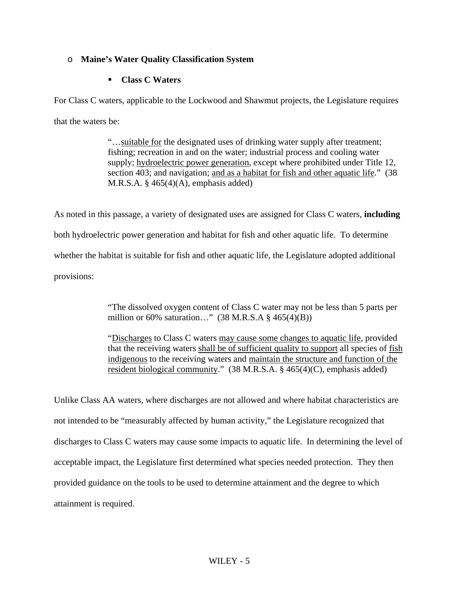## o **Maine's Water Quality Classification System**

## **Class C Waters**

For Class C waters, applicable to the Lockwood and Shawmut projects, the Legislature requires that the waters be:

> "…suitable for the designated uses of drinking water supply after treatment; fishing; recreation in and on the water; industrial process and cooling water supply; hydroelectric power generation, except where prohibited under Title 12, section 403; and navigation; and as a habitat for fish and other aquatic life." (38 M.R.S.A.  $\S$  465(4)(A), emphasis added)

As noted in this passage, a variety of designated uses are assigned for Class C waters, **including** both hydroelectric power generation and habitat for fish and other aquatic life. To determine whether the habitat is suitable for fish and other aquatic life, the Legislature adopted additional provisions:

> "The dissolved oxygen content of Class C water may not be less than 5 parts per million or 60% saturation..."  $(38 M.R.S.A § 465(4)(B))$

"Discharges to Class C waters may cause some changes to aquatic life, provided that the receiving waters shall be of sufficient quality to support all species of fish indigenous to the receiving waters and maintain the structure and function of the resident biological community." (38 M.R.S.A. § 465(4)(C), emphasis added)

Unlike Class AA waters, where discharges are not allowed and where habitat characteristics are not intended to be "measurably affected by human activity," the Legislature recognized that discharges to Class C waters may cause some impacts to aquatic life. In determining the level of acceptable impact, the Legislature first determined what species needed protection. They then provided guidance on the tools to be used to determine attainment and the degree to which attainment is required.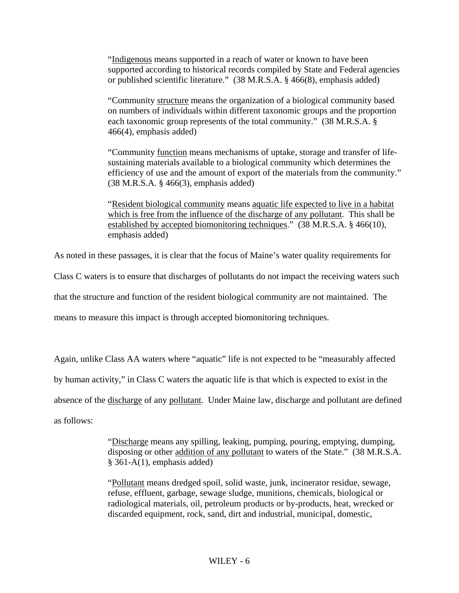"Indigenous means supported in a reach of water or known to have been supported according to historical records compiled by State and Federal agencies or published scientific literature." (38 M.R.S.A. § 466(8), emphasis added)

"Community structure means the organization of a biological community based on numbers of individuals within different taxonomic groups and the proportion each taxonomic group represents of the total community." (38 M.R.S.A. § 466(4), emphasis added)

"Community function means mechanisms of uptake, storage and transfer of lifesustaining materials available to a biological community which determines the efficiency of use and the amount of export of the materials from the community." (38 M.R.S.A. § 466(3), emphasis added)

"Resident biological community means aquatic life expected to live in a habitat which is free from the influence of the discharge of any pollutant. This shall be established by accepted biomonitoring techniques." (38 M.R.S.A. § 466(10), emphasis added)

As noted in these passages, it is clear that the focus of Maine's water quality requirements for

Class C waters is to ensure that discharges of pollutants do not impact the receiving waters such

that the structure and function of the resident biological community are not maintained. The

means to measure this impact is through accepted biomonitoring techniques.

Again, unlike Class AA waters where "aquatic" life is not expected to be "measurably affected by human activity," in Class C waters the aquatic life is that which is expected to exist in the absence of the discharge of any pollutant. Under Maine law, discharge and pollutant are defined as follows:

> "Discharge means any spilling, leaking, pumping, pouring, emptying, dumping, disposing or other addition of any pollutant to waters of the State." (38 M.R.S.A. § 361-A(1), emphasis added)

"Pollutant means dredged spoil, solid waste, junk, incinerator residue, sewage, refuse, effluent, garbage, sewage sludge, munitions, chemicals, biological or radiological materials, oil, petroleum products or by-products, heat, wrecked or discarded equipment, rock, sand, dirt and industrial, municipal, domestic,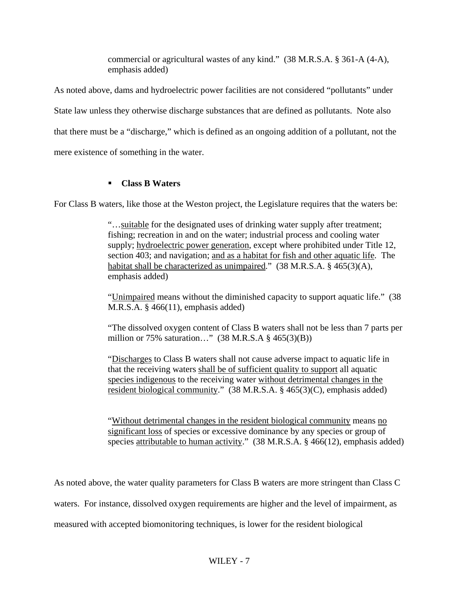commercial or agricultural wastes of any kind." (38 M.R.S.A. § 361-A (4-A), emphasis added)

As noted above, dams and hydroelectric power facilities are not considered "pollutants" under State law unless they otherwise discharge substances that are defined as pollutants. Note also that there must be a "discharge," which is defined as an ongoing addition of a pollutant, not the mere existence of something in the water.

## **Class B Waters**

For Class B waters, like those at the Weston project, the Legislature requires that the waters be:

"…suitable for the designated uses of drinking water supply after treatment; fishing; recreation in and on the water; industrial process and cooling water supply; hydroelectric power generation, except where prohibited under Title 12, section 403; and navigation; and as a habitat for fish and other aquatic life. The habitat shall be characterized as unimpaired." (38 M.R.S.A. § 465(3)(A), emphasis added)

"Unimpaired means without the diminished capacity to support aquatic life." (38 M.R.S.A. § 466(11), emphasis added)

"The dissolved oxygen content of Class B waters shall not be less than 7 parts per million or 75% saturation…" (38 M.R.S.A § 465(3)(B))

"Discharges to Class B waters shall not cause adverse impact to aquatic life in that the receiving waters shall be of sufficient quality to support all aquatic species indigenous to the receiving water without detrimental changes in the resident biological community." (38 M.R.S.A. § 465(3)(C), emphasis added)

"Without detrimental changes in the resident biological community means no significant loss of species or excessive dominance by any species or group of species attributable to human activity." (38 M.R.S.A. § 466(12), emphasis added)

As noted above, the water quality parameters for Class B waters are more stringent than Class C

waters. For instance, dissolved oxygen requirements are higher and the level of impairment, as

measured with accepted biomonitoring techniques, is lower for the resident biological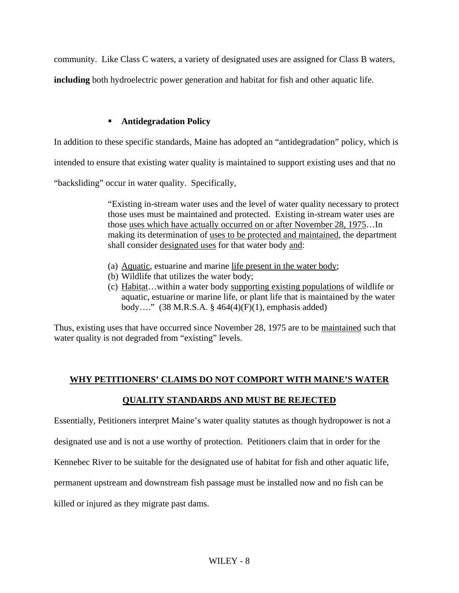community. Like Class C waters, a variety of designated uses are assigned for Class B waters,

**including** both hydroelectric power generation and habitat for fish and other aquatic life.

## **Antidegradation Policy**

In addition to these specific standards, Maine has adopted an "antidegradation" policy, which is

intended to ensure that existing water quality is maintained to support existing uses and that no

"backsliding" occur in water quality. Specifically,

"Existing in-stream water uses and the level of water quality necessary to protect those uses must be maintained and protected. Existing in-stream water uses are those uses which have actually occurred on or after November 28, 1975…In making its determination of uses to be protected and maintained, the department shall consider designated uses for that water body and:

- (a) Aquatic, estuarine and marine life present in the water body;
- (b) Wildlife that utilizes the water body;
- (c) Habitat…within a water body supporting existing populations of wildlife or aquatic, estuarine or marine life, or plant life that is maintained by the water body…." (38 M.R.S.A. § 464(4)(F)(1), emphasis added)

Thus, existing uses that have occurred since November 28, 1975 are to be maintained such that water quality is not degraded from "existing" levels.

## **WHY PETITIONERS' CLAIMS DO NOT COMPORT WITH MAINE'S WATER**

## **QUALITY STANDARDS AND MUST BE REJECTED**

Essentially, Petitioners interpret Maine's water quality statutes as though hydropower is not a

designated use and is not a use worthy of protection. Petitioners claim that in order for the

Kennebec River to be suitable for the designated use of habitat for fish and other aquatic life,

permanent upstream and downstream fish passage must be installed now and no fish can be

killed or injured as they migrate past dams.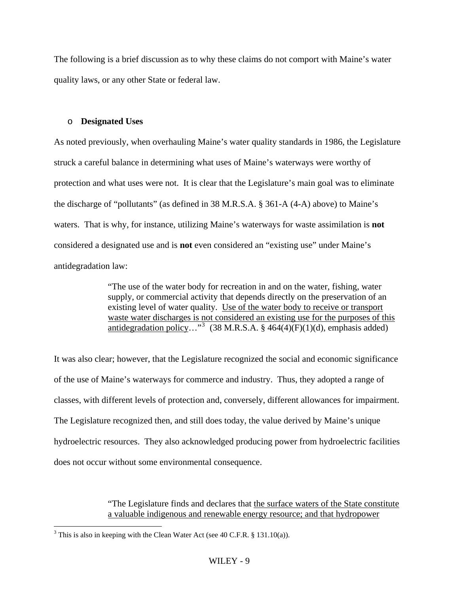The following is a brief discussion as to why these claims do not comport with Maine's water quality laws, or any other State or federal law.

### o **Designated Uses**

As noted previously, when overhauling Maine's water quality standards in 1986, the Legislature struck a careful balance in determining what uses of Maine's waterways were worthy of protection and what uses were not. It is clear that the Legislature's main goal was to eliminate the discharge of "pollutants" (as defined in 38 M.R.S.A. § 361-A (4-A) above) to Maine's waters. That is why, for instance, utilizing Maine's waterways for waste assimilation is **not** considered a designated use and is **not** even considered an "existing use" under Maine's antidegradation law:

> "The use of the water body for recreation in and on the water, fishing, water supply, or commercial activity that depends directly on the preservation of an existing level of water quality. Use of the water body to receive or transport waste water discharges is not considered an existing use for the purposes of this antidegradation policy..."<sup>[3](#page-10-0)</sup> (38 M.R.S.A. § 464(4)(F)(1)(d), emphasis added)

It was also clear; however, that the Legislature recognized the social and economic significance of the use of Maine's waterways for commerce and industry. Thus, they adopted a range of classes, with different levels of protection and, conversely, different allowances for impairment. The Legislature recognized then, and still does today, the value derived by Maine's unique hydroelectric resources. They also acknowledged producing power from hydroelectric facilities does not occur without some environmental consequence.

> "The Legislature finds and declares that the surface waters of the State constitute a valuable indigenous and renewable energy resource; and that hydropower

 $\overline{a}$ 

<span id="page-10-0"></span><sup>&</sup>lt;sup>3</sup> This is also in keeping with the Clean Water Act (see 40 C.F.R. § 131.10(a)).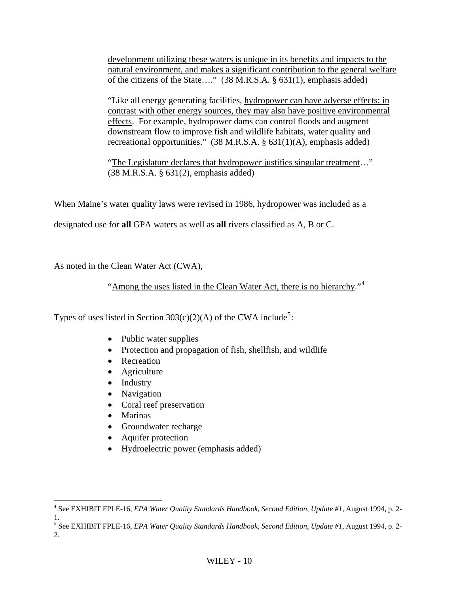development utilizing these waters is unique in its benefits and impacts to the natural environment, and makes a significant contribution to the general welfare of the citizens of the State…." (38 M.R.S.A. § 631(1), emphasis added)

"Like all energy generating facilities, hydropower can have adverse effects; in contrast with other energy sources, they may also have positive environmental effects. For example, hydropower dams can control floods and augment downstream flow to improve fish and wildlife habitats, water quality and recreational opportunities." (38 M.R.S.A. § 631(1)(A), emphasis added)

"The Legislature declares that hydropower justifies singular treatment…" (38 M.R.S.A. § 631(2), emphasis added)

When Maine's water quality laws were revised in 1986, hydropower was included as a

designated use for **all** GPA waters as well as **all** rivers classified as A, B or C.

As noted in the Clean Water Act (CWA),

"Among the uses listed in the Clean Water Act, there is no hierarchy."<sup>[4](#page-11-0)</sup>

Types of uses listed in Section  $303(c)(2)(A)$  of the CWA include<sup>[5](#page-11-1)</sup>:

- Public water supplies
- Protection and propagation of fish, shellfish, and wildlife
- Recreation
- Agriculture
- Industry
- Navigation
- Coral reef preservation
- Marinas
- Groundwater recharge
- Aquifer protection
- Hydroelectric power (emphasis added)

<span id="page-11-0"></span> 4 See EXHIBIT FPLE-16, *EPA Water Quality Standards Handbook, Second Edition, Update #1,* August 1994, p. 2- 1.

<span id="page-11-1"></span><sup>&</sup>lt;sup>5</sup> See EXHIBIT FPLE-16, *EPA Water Quality Standards Handbook, Second Edition, Update #1*, August 1994, p. 2-2.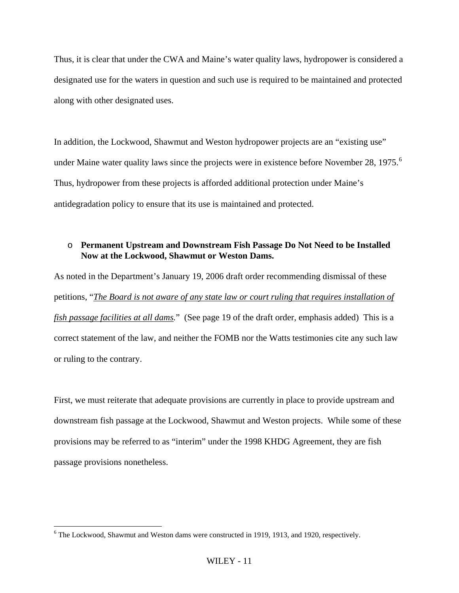Thus, it is clear that under the CWA and Maine's water quality laws, hydropower is considered a designated use for the waters in question and such use is required to be maintained and protected along with other designated uses.

In addition, the Lockwood, Shawmut and Weston hydropower projects are an "existing use" under Maine water quality laws since the projects were in existence before November 28, 1975.<sup>[6](#page-12-0)</sup> Thus, hydropower from these projects is afforded additional protection under Maine's antidegradation policy to ensure that its use is maintained and protected.

### o **Permanent Upstream and Downstream Fish Passage Do Not Need to be Installed Now at the Lockwood, Shawmut or Weston Dams.**

As noted in the Department's January 19, 2006 draft order recommending dismissal of these petitions, "*The Board is not aware of any state law or court ruling that requires installation of fish passage facilities at all dams.*" (See page 19 of the draft order, emphasis added) This is a correct statement of the law, and neither the FOMB nor the Watts testimonies cite any such law or ruling to the contrary.

First, we must reiterate that adequate provisions are currently in place to provide upstream and downstream fish passage at the Lockwood, Shawmut and Weston projects. While some of these provisions may be referred to as "interim" under the 1998 KHDG Agreement, they are fish passage provisions nonetheless.

 $\overline{a}$ 

<span id="page-12-0"></span><sup>&</sup>lt;sup>6</sup> The Lockwood, Shawmut and Weston dams were constructed in 1919, 1913, and 1920, respectively.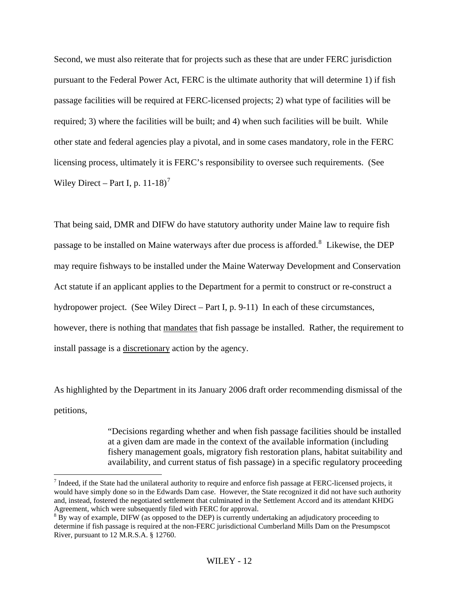Second, we must also reiterate that for projects such as these that are under FERC jurisdiction pursuant to the Federal Power Act, FERC is the ultimate authority that will determine 1) if fish passage facilities will be required at FERC-licensed projects; 2) what type of facilities will be required; 3) where the facilities will be built; and 4) when such facilities will be built. While other state and federal agencies play a pivotal, and in some cases mandatory, role in the FERC licensing process, ultimately it is FERC's responsibility to oversee such requirements. (See Wiley Direct – Part I, p.  $11-18$ <sup>[7](#page-13-0)</sup>

That being said, DMR and DIFW do have statutory authority under Maine law to require fish passage to be installed on Maine waterways after due process is afforded.<sup>[8](#page-13-1)</sup> Likewise, the DEP may require fishways to be installed under the Maine Waterway Development and Conservation Act statute if an applicant applies to the Department for a permit to construct or re-construct a hydropower project. (See Wiley Direct – Part I, p. 9-11) In each of these circumstances, however, there is nothing that mandates that fish passage be installed. Rather, the requirement to install passage is a discretionary action by the agency.

As highlighted by the Department in its January 2006 draft order recommending dismissal of the petitions,

> "Decisions regarding whether and when fish passage facilities should be installed at a given dam are made in the context of the available information (including fishery management goals, migratory fish restoration plans, habitat suitability and availability, and current status of fish passage) in a specific regulatory proceeding

 $\overline{a}$ 

<span id="page-13-0"></span> $^7$  Indeed, if the State had the unilateral authority to require and enforce fish passage at FERC-licensed projects, it would have simply done so in the Edwards Dam case. However, the State recognized it did not have such authority and, instead, fostered the negotiated settlement that culminated in the Settlement Accord and its attendant KHDG Agreement, which were subsequently filed with FERC for approval.

<span id="page-13-1"></span> $8\overline{B}$ y way of example, DIFW (as opposed to the DEP) is currently undertaking an adjudicatory proceeding to determine if fish passage is required at the non-FERC jurisdictional Cumberland Mills Dam on the Presumpscot River, pursuant to 12 M.R.S.A. § 12760.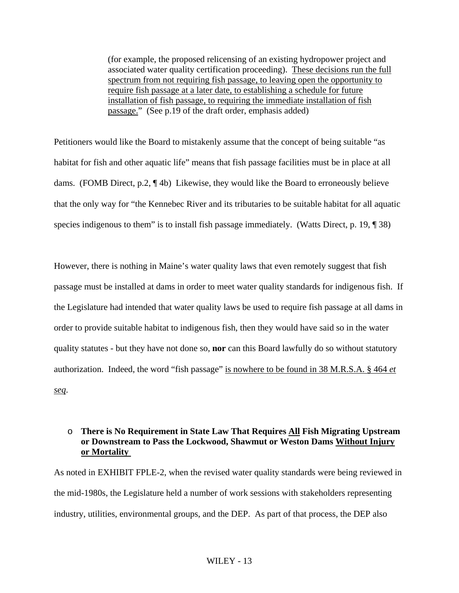(for example, the proposed relicensing of an existing hydropower project and associated water quality certification proceeding). These decisions run the full spectrum from not requiring fish passage, to leaving open the opportunity to require fish passage at a later date, to establishing a schedule for future installation of fish passage, to requiring the immediate installation of fish passage." (See p.19 of the draft order, emphasis added)

Petitioners would like the Board to mistakenly assume that the concept of being suitable "as habitat for fish and other aquatic life" means that fish passage facilities must be in place at all dams. (FOMB Direct, p.2, ¶ 4b) Likewise, they would like the Board to erroneously believe that the only way for "the Kennebec River and its tributaries to be suitable habitat for all aquatic species indigenous to them" is to install fish passage immediately. (Watts Direct, p. 19, 1938)

However, there is nothing in Maine's water quality laws that even remotely suggest that fish passage must be installed at dams in order to meet water quality standards for indigenous fish. If the Legislature had intended that water quality laws be used to require fish passage at all dams in order to provide suitable habitat to indigenous fish, then they would have said so in the water quality statutes - but they have not done so, **nor** can this Board lawfully do so without statutory authorization. Indeed, the word "fish passage" is nowhere to be found in 38 M.R.S.A. § 464 *et seq*.

### o **There is No Requirement in State Law That Requires All Fish Migrating Upstream or Downstream to Pass the Lockwood, Shawmut or Weston Dams Without Injury or Mortality**

As noted in EXHIBIT FPLE-2, when the revised water quality standards were being reviewed in the mid-1980s, the Legislature held a number of work sessions with stakeholders representing industry, utilities, environmental groups, and the DEP. As part of that process, the DEP also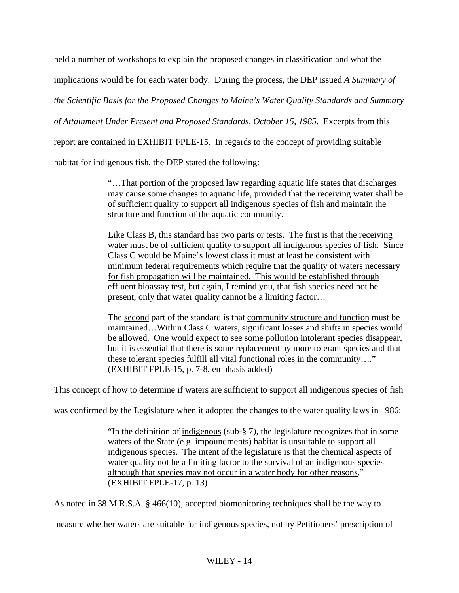held a number of workshops to explain the proposed changes in classification and what the

implications would be for each water body. During the process, the DEP issued *A Summary of* 

*the Scientific Basis for the Proposed Changes to Maine's Water Quality Standards and Summary* 

*of Attainment Under Present and Proposed Standards, October 15, 1985*. Excerpts from this

report are contained in EXHIBIT FPLE-15. In regards to the concept of providing suitable

habitat for indigenous fish, the DEP stated the following:

"…That portion of the proposed law regarding aquatic life states that discharges may cause some changes to aquatic life, provided that the receiving water shall be of sufficient quality to support all indigenous species of fish and maintain the structure and function of the aquatic community.

Like Class B, this standard has two parts or tests. The first is that the receiving water must be of sufficient quality to support all indigenous species of fish. Since Class C would be Maine's lowest class it must at least be consistent with minimum federal requirements which require that the quality of waters necessary for fish propagation will be maintained. This would be established through effluent bioassay test, but again, I remind you, that fish species need not be present, only that water quality cannot be a limiting factor…

The second part of the standard is that community structure and function must be maintained…Within Class C waters, significant losses and shifts in species would be allowed. One would expect to see some pollution intolerant species disappear, but it is essential that there is some replacement by more tolerant species and that these tolerant species fulfill all vital functional roles in the community…." (EXHIBIT FPLE-15, p. 7-8, emphasis added)

This concept of how to determine if waters are sufficient to support all indigenous species of fish

was confirmed by the Legislature when it adopted the changes to the water quality laws in 1986:

"In the definition of indigenous (sub-§ 7), the legislature recognizes that in some waters of the State (e.g. impoundments) habitat is unsuitable to support all indigenous species. The intent of the legislature is that the chemical aspects of water quality not be a limiting factor to the survival of an indigenous species although that species may not occur in a water body for other reasons." (EXHIBIT FPLE-17, p. 13)

As noted in 38 M.R.S.A. § 466(10), accepted biomonitoring techniques shall be the way to

measure whether waters are suitable for indigenous species, not by Petitioners' prescription of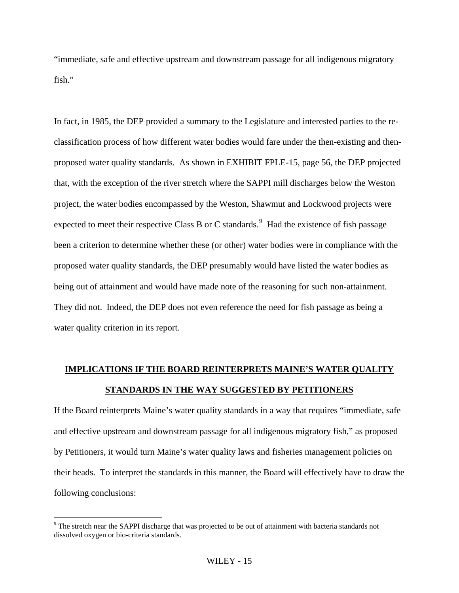"immediate, safe and effective upstream and downstream passage for all indigenous migratory fish."

In fact, in 1985, the DEP provided a summary to the Legislature and interested parties to the reclassification process of how different water bodies would fare under the then-existing and thenproposed water quality standards. As shown in EXHIBIT FPLE-15, page 56, the DEP projected that, with the exception of the river stretch where the SAPPI mill discharges below the Weston project, the water bodies encompassed by the Weston, Shawmut and Lockwood projects were expected to meet their respective Class B or C standards.<sup>[9](#page-16-0)</sup> Had the existence of fish passage been a criterion to determine whether these (or other) water bodies were in compliance with the proposed water quality standards, the DEP presumably would have listed the water bodies as being out of attainment and would have made note of the reasoning for such non-attainment. They did not. Indeed, the DEP does not even reference the need for fish passage as being a water quality criterion in its report.

## **IMPLICATIONS IF THE BOARD REINTERPRETS MAINE'S WATER QUALITY STANDARDS IN THE WAY SUGGESTED BY PETITIONERS**

If the Board reinterprets Maine's water quality standards in a way that requires "immediate, safe and effective upstream and downstream passage for all indigenous migratory fish," as proposed by Petitioners, it would turn Maine's water quality laws and fisheries management policies on their heads. To interpret the standards in this manner, the Board will effectively have to draw the following conclusions:

 $\overline{a}$ 

<span id="page-16-0"></span><sup>&</sup>lt;sup>9</sup> The stretch near the SAPPI discharge that was projected to be out of attainment with bacteria standards not dissolved oxygen or bio-criteria standards.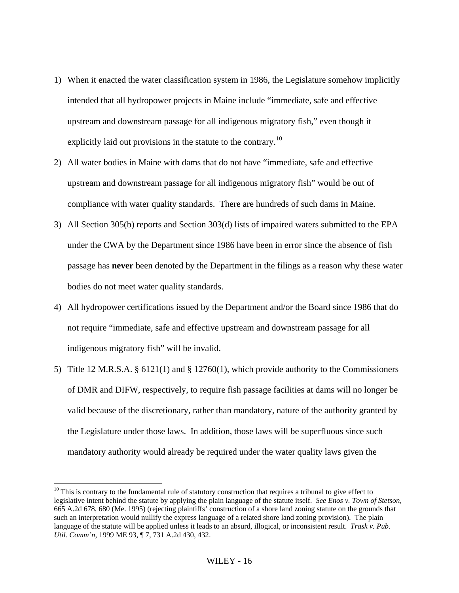- 1) When it enacted the water classification system in 1986, the Legislature somehow implicitly intended that all hydropower projects in Maine include "immediate, safe and effective upstream and downstream passage for all indigenous migratory fish," even though it explicitly laid out provisions in the statute to the contrary.<sup>[10](#page-17-0)</sup>
- 2) All water bodies in Maine with dams that do not have "immediate, safe and effective upstream and downstream passage for all indigenous migratory fish" would be out of compliance with water quality standards. There are hundreds of such dams in Maine.
- 3) All Section 305(b) reports and Section 303(d) lists of impaired waters submitted to the EPA under the CWA by the Department since 1986 have been in error since the absence of fish passage has **never** been denoted by the Department in the filings as a reason why these water bodies do not meet water quality standards.
- 4) All hydropower certifications issued by the Department and/or the Board since 1986 that do not require "immediate, safe and effective upstream and downstream passage for all indigenous migratory fish" will be invalid.
- 5) Title 12 M.R.S.A. § 6121(1) and § 12760(1), which provide authority to the Commissioners of DMR and DIFW, respectively, to require fish passage facilities at dams will no longer be valid because of the discretionary, rather than mandatory, nature of the authority granted by the Legislature under those laws. In addition, those laws will be superfluous since such mandatory authority would already be required under the water quality laws given the

 $\overline{a}$ 

<span id="page-17-0"></span> $10$  This is contrary to the fundamental rule of statutory construction that requires a tribunal to give effect to legislative intent behind the statute by applying the plain language of the statute itself. *See Enos v. Town of Stetson,*  665 A.2d 678, 680 (Me. 1995) (rejecting plaintiffs' construction of a shore land zoning statute on the grounds that such an interpretation would nullify the express language of a related shore land zoning provision). The plain language of the statute will be applied unless it leads to an absurd, illogical, or inconsistent result. *Trask v. Pub. Util. Comm'n,* 1999 ME 93, ¶ 7, 731 A.2d 430, 432.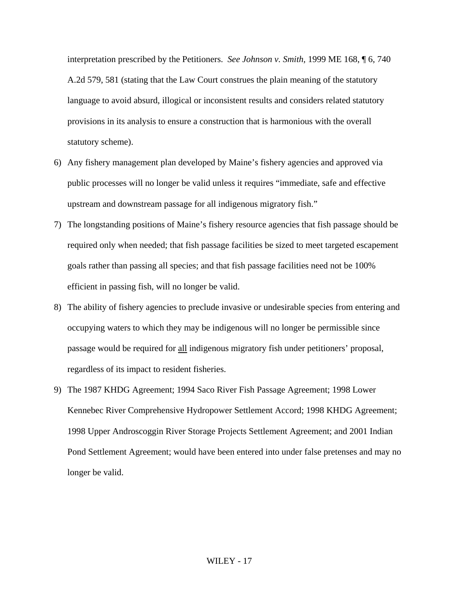interpretation prescribed by the Petitioners. *See Johnson v. Smith,* 1999 ME 168, ¶ 6, 740 A.2d 579, 581 (stating that the Law Court construes the plain meaning of the statutory language to avoid absurd, illogical or inconsistent results and considers related statutory provisions in its analysis to ensure a construction that is harmonious with the overall statutory scheme).

- 6) Any fishery management plan developed by Maine's fishery agencies and approved via public processes will no longer be valid unless it requires "immediate, safe and effective upstream and downstream passage for all indigenous migratory fish."
- 7) The longstanding positions of Maine's fishery resource agencies that fish passage should be required only when needed; that fish passage facilities be sized to meet targeted escapement goals rather than passing all species; and that fish passage facilities need not be 100% efficient in passing fish, will no longer be valid.
- 8) The ability of fishery agencies to preclude invasive or undesirable species from entering and occupying waters to which they may be indigenous will no longer be permissible since passage would be required for all indigenous migratory fish under petitioners' proposal, regardless of its impact to resident fisheries.
- 9) The 1987 KHDG Agreement; 1994 Saco River Fish Passage Agreement; 1998 Lower Kennebec River Comprehensive Hydropower Settlement Accord; 1998 KHDG Agreement; 1998 Upper Androscoggin River Storage Projects Settlement Agreement; and 2001 Indian Pond Settlement Agreement; would have been entered into under false pretenses and may no longer be valid.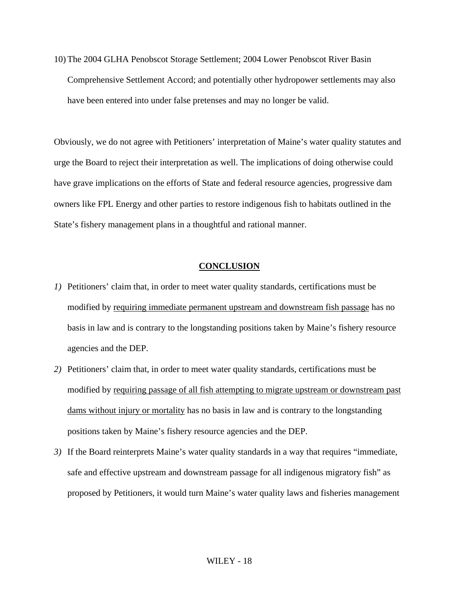10) The 2004 GLHA Penobscot Storage Settlement; 2004 Lower Penobscot River Basin Comprehensive Settlement Accord; and potentially other hydropower settlements may also have been entered into under false pretenses and may no longer be valid.

Obviously, we do not agree with Petitioners' interpretation of Maine's water quality statutes and urge the Board to reject their interpretation as well. The implications of doing otherwise could have grave implications on the efforts of State and federal resource agencies, progressive dam owners like FPL Energy and other parties to restore indigenous fish to habitats outlined in the State's fishery management plans in a thoughtful and rational manner.

### **CONCLUSION**

- *1)* Petitioners' claim that, in order to meet water quality standards, certifications must be modified by requiring immediate permanent upstream and downstream fish passage has no basis in law and is contrary to the longstanding positions taken by Maine's fishery resource agencies and the DEP.
- *2)* Petitioners' claim that, in order to meet water quality standards, certifications must be modified by requiring passage of all fish attempting to migrate upstream or downstream past dams without injury or mortality has no basis in law and is contrary to the longstanding positions taken by Maine's fishery resource agencies and the DEP.
- *3)* If the Board reinterprets Maine's water quality standards in a way that requires "immediate, safe and effective upstream and downstream passage for all indigenous migratory fish" as proposed by Petitioners, it would turn Maine's water quality laws and fisheries management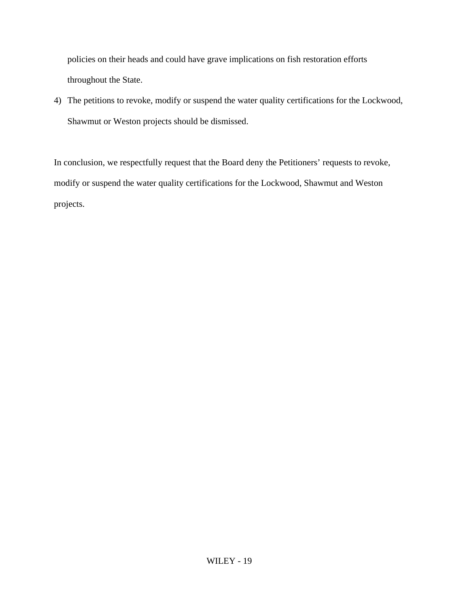policies on their heads and could have grave implications on fish restoration efforts throughout the State.

4) The petitions to revoke, modify or suspend the water quality certifications for the Lockwood, Shawmut or Weston projects should be dismissed.

In conclusion, we respectfully request that the Board deny the Petitioners' requests to revoke, modify or suspend the water quality certifications for the Lockwood, Shawmut and Weston projects.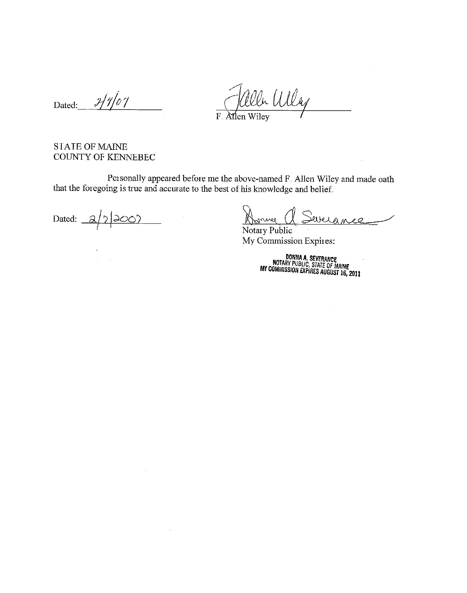$2/7/07$ Dated:

Was  $\overline{F}$ Allen Wiley

### **STATE OF MAINE** COUNTY OF KENNEBEC

Personally appeared before me the above-named F. Allen Wiley and made oath that the foregoing is true and accurate to the best of his knowledge and belief.

 $\sim$ 

Dated: \_

 $\mathcal{L}$ 

mur Develo 00

Notary Public My Commission Expires:

DONNA A. SEVERANCE<br>NOTARY PUBLIC, STATE OF MAINE<br>MY COMMISSION EXPIRES AUGUST 16, 2011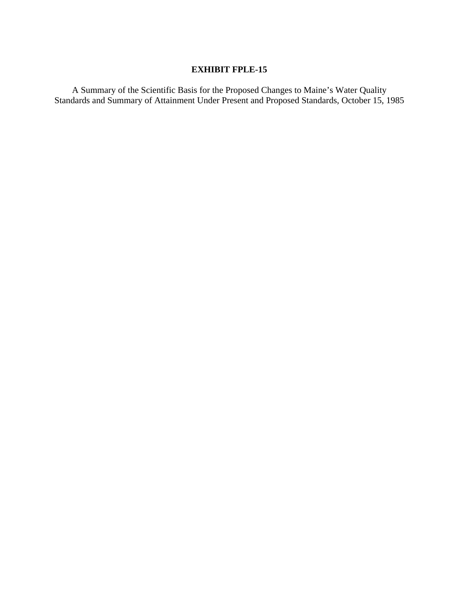## **EXHIBIT FPLE-15**

A Summary of the Scientific Basis for the Proposed Changes to Maine's Water Quality Standards and Summary of Attainment Under Present and Proposed Standards, October 15, 1985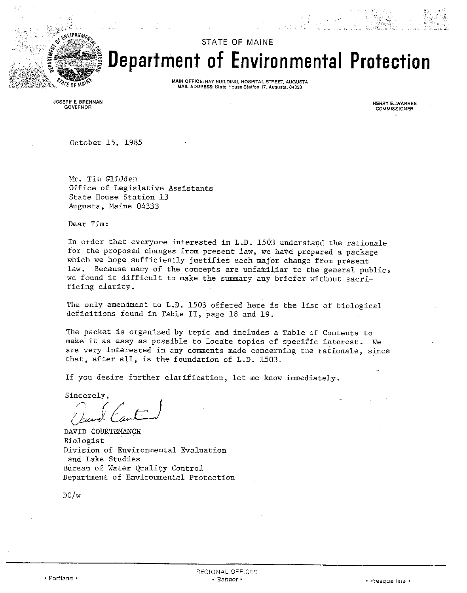

# **STATE OF MAINE** Department of Environmental Protection

MAIN OFFICE: RAY BUILDING, HOSPITAL STREET, AUGUSTA MAIL ADDRESS: State House Station 17, Augusta, 04333

JOSEPH E. BRENNAN GOVERNOR

**HENRY E. WARREN** COMMISSIONER

October 15, 1985

Mr. Tim Glidden Office of Legislative Assistants State House Station 13 Augusta, Maine 04333

Dear Tim:

In order that everyone interested in L.D. 1503 understand the rationale for the proposed changes from present law, we have prepared a package which we hope sufficiently justifies each major change from present law. Because many of the concepts are unfamiliar to the general public, we found it difficult to make the summary any briefer without sacrificing clarity.

The only amendment to L.D. 1503 offered here is the list of biological definitions found in Table II, page 18 and 19.

The packet is organized by topic and includes a Table of Contents to make it as easy as possible to locate topics of specific interest. We are very interested in any comments made concerning the rationale, since that, after all, is the foundation of L.D. 1503.

If you desire further clarification, let me know immediately.

Sincerely.

DAVID COURTEMANCH Biologist Division of Environmental Evaluation and Lake Studies Bureau of Water Quality Control Department of Environmental Protection

 $DC/w$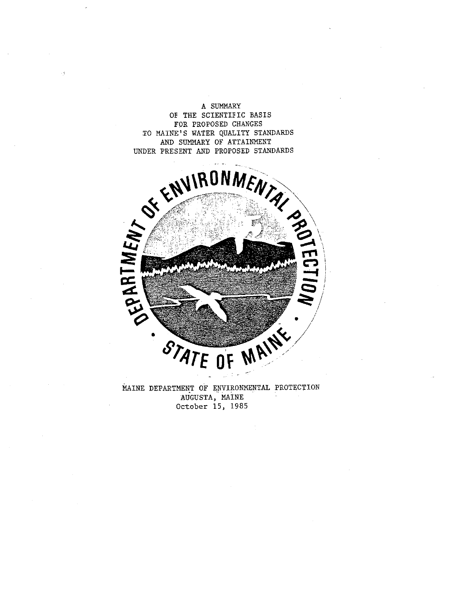A SUMMARY OF THE SCIENTIFIC BASIS FOR PROPOSED CHANGES



MAINE DEPARTMENT OF ENVIRONMENTAL PROTECTION AUGUSTA, MAINE October 15, 1985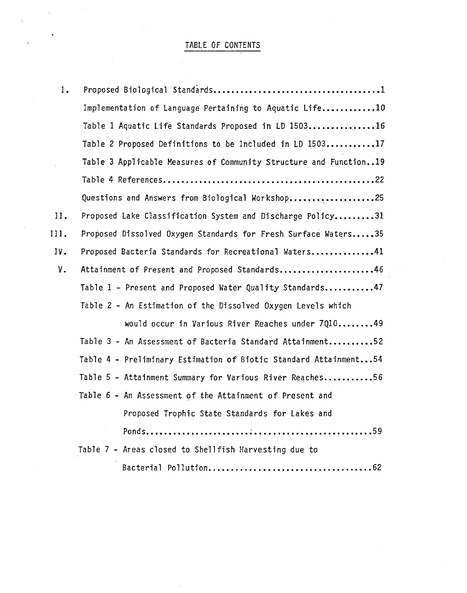## TABLE OF CONTENTS

| Ι.   |                                                                   |
|------|-------------------------------------------------------------------|
|      | Implementation of Language Pertaining to Aquatic Life10           |
|      | Table 1 Aquatic Life Standards Proposed in LD 150316              |
|      | Table 2 Proposed Definitions to be Included in LD 150317          |
|      | Table 3 Applicable Measures of Community Structure and Function19 |
|      |                                                                   |
|      | Questions and Answers from Biological Workshop25                  |
| 11.  | Proposed Lake Classification System and Discharge Policy31        |
| 111. | Proposed Dissolved Oxygen Standards for Fresh Surface Waters35    |
| IV.  | Proposed Bacteria Standards for Recreational Waters41             |
| ν.   | Attainment of Present and Proposed Standards46                    |
|      | Table 1 - Present and Proposed Water Quality Standards47          |
|      | Table 2 - An Estimation of the Dissolved Oxygen Levels which      |
|      | would occur in Various River Reaches under 701049                 |
|      | Table 3 - An Assessment of Bacteria Standard Attainment52         |
|      | Table 4 - Preliminary Estimation of Biotic Standard Attainment54  |
|      | Table 5 - Attainment Summary for Various River Reaches56          |
|      | Table 6 - An Assessment of the Attainment of Present and          |
|      | Proposed Trophic State Standards for Lakes and                    |
|      |                                                                   |
|      | Table 7 - Areas closed to Shellfish Harvesting due to             |
|      | Bacterial Pollution<br>. 62                                       |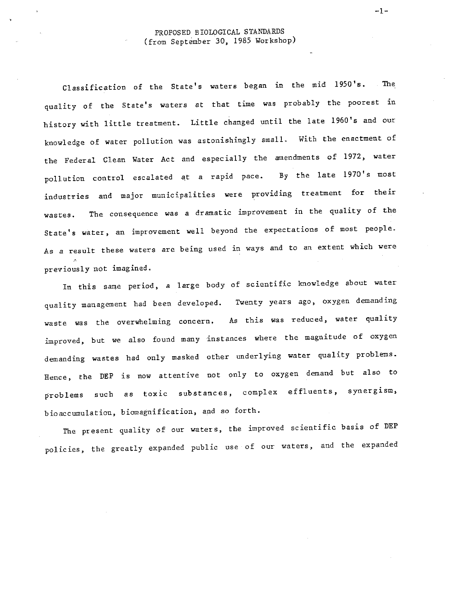Classification of the State's waters began in the mid 1950's. The quality of the State's waters at that time was probably the poorest in history with little treatment. Little changed until the late 1960's and our knowledge of water pollution was astonishingly small. With the enactment of the Federal Clean Water Act and especially the amendments of 1972, water pollution control escalated at a rapid pace. By the late 1970's most industries and major municipalities were providing treatment for their wastes. The consequence was a dramatic improvement in the quality of the State's water, an improvement well beyond the expectations of most people. As a result these waters are being used in ways and to an extent which were previously not imagined.

In this same period, a large body of scientific knowledge about water quality management had been developed. Twenty years ago, oxygen demanding waste was the overwhelming concern. As this was reduced, water quality improved, but we also found many instances where the magnitude of oxygen demanding wastes had only masked other underlying water quality problems. Hence, the DEP is now attentive not only to oxygen demand but also to problems such as toxic substances, complex effluents, synergism, bioaccumulation, biomagnification, and so forth.

The present quality of our waters, the improved scientific basis of DEP policies, the greatly expanded public use of our waters, and the expanded

 $-1-$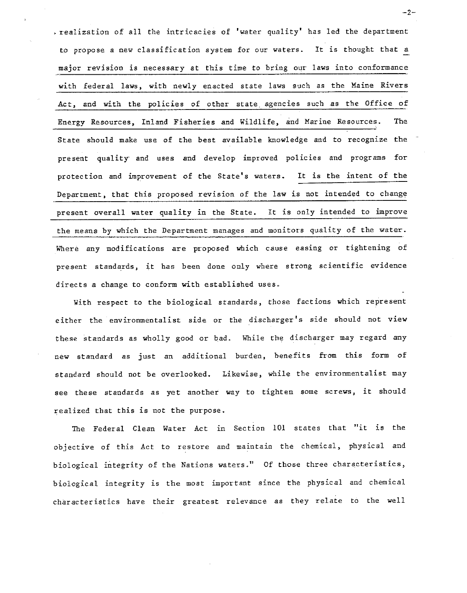realization of all the intricacies of 'water quality' has led the department to propose a new classification system for our waters. It is thought that a major revision is necessary at this time to bring our laws into conformance with federal laws, with newly enacted state laws such as the Maine Rivers Act, and with the policies of other state agencies such as the Office of Energy Resources, Inland Fisheries and Wildlife, and Marine Resources. **The** State should make use of the best available knowledge and to recognize the present quality and uses and develop improved policies and programs for protection and improvement of the State's waters. It is the intent of the Department, that this proposed revision of the law is not intended to change present overall water quality in the State. It is only intended to improve the means by which the Department manages and monitors quality of the water. Where any modifications are proposed which cause easing or tightening of present standards, it has been done only where strong scientific evidence directs a change to conform with established uses.

With respect to the biological standards, those factions which represent either the environmentalist side or the discharger's side should not view these standards as wholly good or bad. While the discharger may regard any new standard as just an additional burden, benefits from this form of standard should not be overlooked. Likewise, while the environmentalist may see these standards as yet another way to tighten some screws, it should realized that this is not the purpose.

The Federal Clean Water Act in Section 101 states that "it is the objective of this Act to restore and maintain the chemical, physical and biological integrity of the Nations waters." Of those three characteristics, biological integrity is the most important since the physical and chemical characteristics have their greatest relevance as they relate to the well

 $-2-$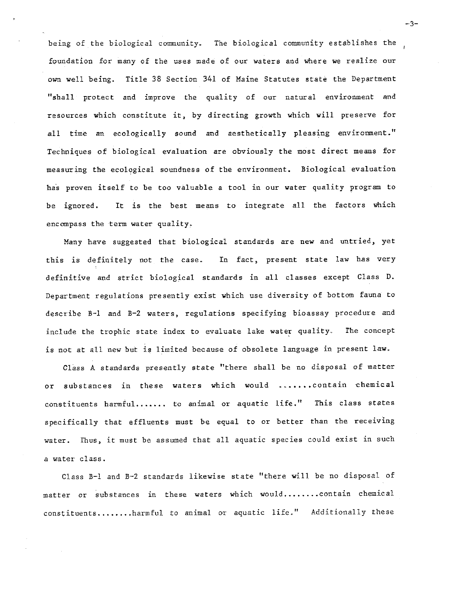being of the biological community. The biological community establishes the foundation for many of the uses made of our waters and where we realize our own well being. Title 38 Section 341 of Maine Statutes state the Department "shall protect and improve the quality of our natural environment and resources which constitute it, by directing growth which will preserve for all time an ecologically sound and aesthetically pleasing environment." Techniques of biological evaluation are obviously the most direct means for measuring the ecological soundness of the environment. Biological evaluation has proven itself to be too valuable a tool in our water quality program to It is the best means to integrate all the factors which be ignored. encompass the term water quality.

Many have suggested that biological standards are new and untried, yet this is definitely not the case. In fact, present state law has very definitive and strict biological standards in all classes except Class D. Department regulations presently exist which use diversity of bottom fauna to describe B-1 and B-2 waters, regulations specifying bioassay procedure and include the trophic state index to evaluate lake water quality. The concept is not at all new but is limited because of obsolete language in present law.

Class A standards presently state "there shall be no disposal of matter or substances in these waters which would .......contain chemical constituents harmful....... to animal or aquatic life." This class states specifically that effluents must be equal to or better than the receiving water. Thus, it must be assumed that all aquatic species could exist in such a water class.

Class B-1 and B-2 standards likewise state "there will be no disposal of matter or substances in these waters which would........contain chemical constituents........harmful to animal or aquatic life." Additionally these

 $-3-$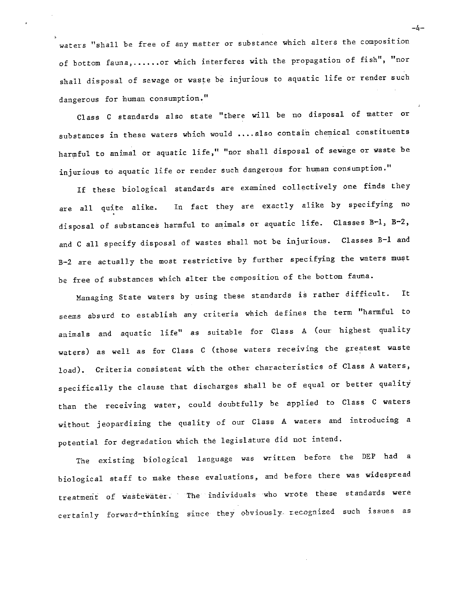waters "shall be free of any matter or substance which alters the composition of bottom fauna,......or which interferes with the propagation of fish", "nor shall disposal of sewage or waste be injurious to aquatic life or render such dangerous for human consumption."

Class C standards also state "there will be no disposal of matter or substances in these waters which would .... also contain chemical constituents harmful to animal or aquatic life," "nor shall disposal of sewage or waste be injurious to aquatic life or render such dangerous for human consumption."

If these biological standards are examined collectively one finds they In fact they are exactly alike by specifying no are all quite alike. disposal of substances harmful to animals or aquatic life. Classes B-1, B-2, and C all specify disposal of wastes shall not be injurious. Classes B-1 and B-2 are actually the most restrictive by further specifying the waters must be free of substances which alter the composition of the bottom fauna.

Managing State waters by using these standards is rather difficult. It seems absurd to establish any criteria which defines the term "harmful to animals and aquatic life" as suitable for Class A (our highest quality waters) as well as for Class C (those waters receiving the greatest waste load). Criteria consistent with the other characteristics of Class A waters, specifically the clause that discharges shall be of equal or better quality than the receiving water, could doubtfully be applied to Class C waters without jeopardizing the quality of our Class A waters and introducing a potential for degradation which the legislature did not intend.

The existing biological language was written before the DEP had a biological staff to make these evaluations, and before there was widespread treatment of wastewater. The individuals who wrote these standards were certainly forward-thinking since they obviously recognized such issues as

 $-4-$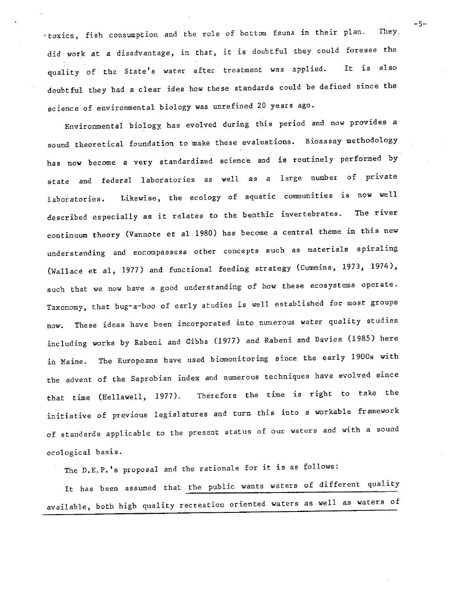"toxics, fish consumption and the role of bottom fauna in their plan. They. did work at a disadvantage, in that, it is doubtful they could foresee the quality of the State's water after treatment was applied. It is also doubtful they had a clear idea how these standards could be defined since the science of environmental biology was unrefined 20 years ago.

Environmental biology has evolved during this period and now provides a sound theoretical foundation to make these evaluations. Bioassay methodology has now become a very standardized science and is routinely performed by state and federal laboratories as well as a large number of private Likewise, the ecology of aquatic communities is now well laboratories. described especially as it relates to the benthic invertebrates. The river continuum theory (Vannote et al 1980) has become a central theme in this new understanding and encompassess other concepts such as materials spiraling (Wallace et al, 1977) and functional feeding strategy (Cummins, 1973, 1974), such that we now have a good understanding of how these ecosystems operate. Taxonomy, that bug-a-boo of early studies is well established for most groups These ideas have been incorporated into numerous water quality studies now. including works by Rabeni and Gibbs (1977) and Rabeni and Davies (1985) here The Europeans have used biomonitoring since the early 1900s with in Maine. the advent of the Saprobian index and numerous techniques have evolved since Therefore the time is right to take the that time (Hellawell, 1977). initiative of previous legislatures and turn this into a workable framework of standards applicable to the present status of our waters and with a sound ecological basis.

The D.E.P.'s proposal and the rationale for it is as follows:

It has been assumed that the public wants waters of different quality available, both high quality recreation oriented waters as well as waters of  $-5-$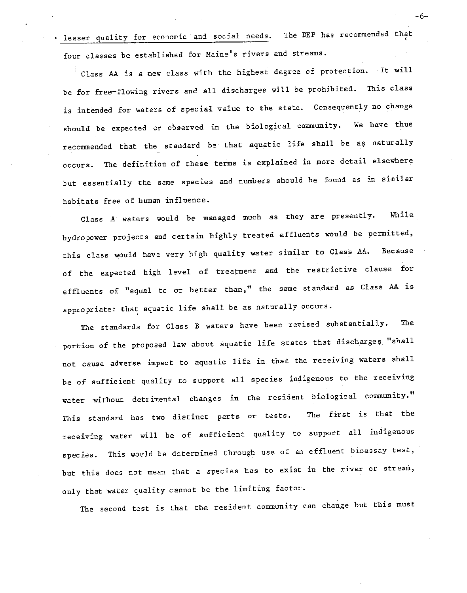lesser quality for economic and social needs. The DEP has recommended that four classes be established for Maine's rivers and streams.

Class AA is a new class with the highest degree of protection. It will be for free-flowing rivers and all discharges will be prohibited. This class is intended for waters of special value to the state. Consequently no change should be expected or observed in the biological community. We have thus recommended that the standard be that aquatic life shall be as naturally The definition of these terms is explained in more detail elsewhere occurs. but essentially the same species and numbers should be found as in similar habitats free of human influence.

Class A waters would be managed much as they are presently. While hydropower projects and certain highly treated effluents would be permitted, this class would have very high quality water similar to Class AA. Because of the expected high level of treatment and the restrictive clause for effluents of "equal to or better than," the same standard as Class AA is appropriate: that aquatic life shall be as naturally occurs.

The standards for Class B waters have been revised substantially. The portion of the proposed law about aquatic life states that discharges "shall not cause adverse impact to aquatic life in that the receiving waters shall be of sufficient quality to support all species indigenous to the receiving water without detrimental changes in the resident biological community." The first is that the This standard has two distinct parts or tests. receiving water will be of sufficient quality to support all indigenous species. This would be determined through use of an effluent bioassay test, but this does not mean that a species has to exist in the river or stream, only that water quality cannot be the limiting factor.

The second test is that the resident community can change but this must

 $-6-$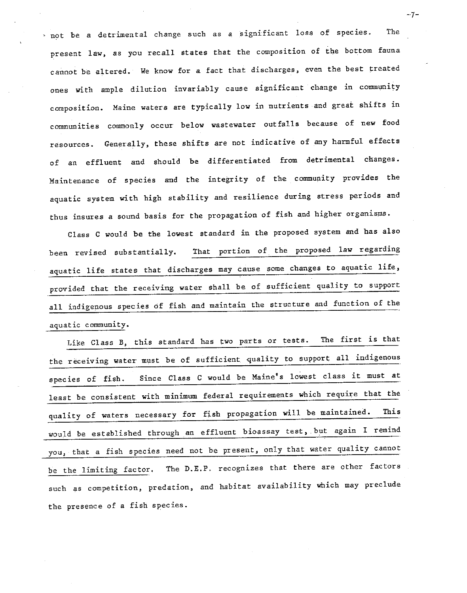not be a detrimental change such as a significant loss of species. The present law, as you recall states that the composition of the bottom fauna cannot be altered. We know for a fact that discharges, even the best treated ones with ample dilution invariably cause significant change in community composition. Maine waters are typically low in nutrients and great shifts in communities commonly occur below wastewater outfalls because of new food resources. Generally, these shifts are not indicative of any harmful effects of an effluent and should be differentiated from detrimental changes. Maintenance of species and the integrity of the community provides the aquatic system with high stability and resilience during stress periods and thus insures a sound basis for the propagation of fish and higher organisms.

Class C would be the lowest standard in the proposed system and has also That portion of the proposed law regarding been revised substantially. aquatic life states that discharges may cause some changes to aquatic life, provided that the receiving water shall be of sufficient quality to support all indigenous species of fish and maintain the structure and function of the aquatic community.

Like Class B, this standard has two parts or tests. The first is that the receiving water must be of sufficient quality to support all indigenous Since Class C would be Maine's lowest class it must at species of fish. least be consistent with minimum federal requirements which require that the quality of waters necessary for fish propagation will be maintained. This would be established through an effluent bioassay test, but again I remind you, that a fish species need not be present, only that water quality cannot The D.E.P. recognizes that there are other factors be the limiting factor. such as competition, predation, and habitat availability which may preclude the presence of a fish species.

 $-7-$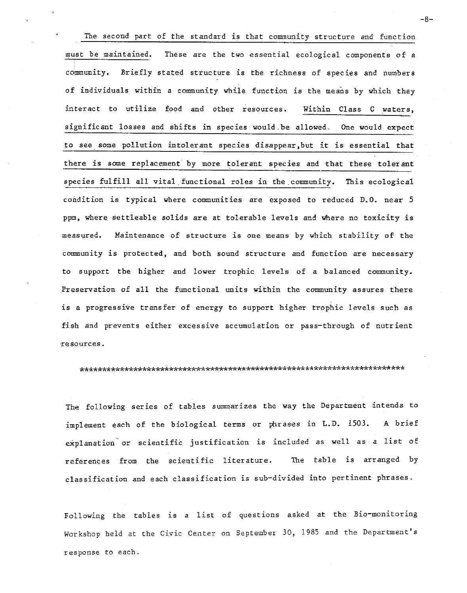The second part of the standard is that community structure and function These are the two essential ecological components of a must be maintained. community. Briefly stated structure is the richness of species and numbers of individuals within a community while function is the means by which they interact to utilize food and other resources. Within Class C waters, significant losses and shifts in species would be allowed. One would expect to see some pollution intolerant species disappear, but it is essential that there is some replacement by more tolerant species and that these tolerant species fulfill all vital functional roles in the community. This ecological condition is typical where communities are exposed to reduced D.O. near 5 ppm, where settleable solids are at tolerable levels and where no toxicity is measured. Maintenance of structure is one means by which stability of the community is protected, and both sound structure and function are necessary to support the higher and lower trophic levels of a balanced community. Preservation of all the functional units within the community assures there is a progressive transfer of energy to support higher trophic levels such as fish and prevents either excessive accumulation or pass-through of nutrient resources.

#### 

The following series of tables summarizes the way the Department intends to implement each of the biological terms or phrases in L.D. 1503. A brief explanation or scientific justification is included as well as a list of references from the scientific literature. The table is arranged by classification and each classification is sub-divided into pertinent phrases.

Following the tables is a list of questions asked at the Bio-monitoring Workshop held at the Civic Center on September 30, 1985 and the Department's response to each.

 $-8-$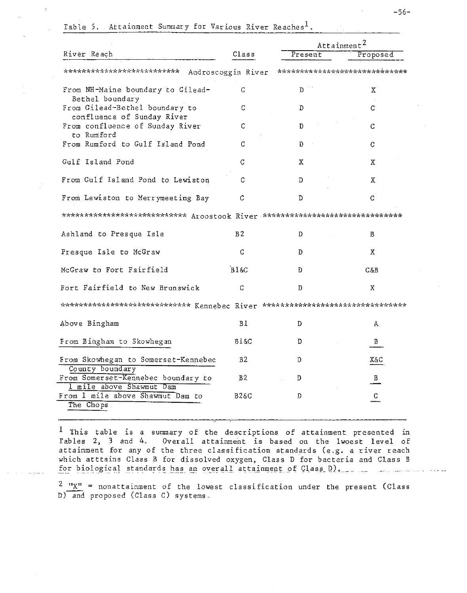|                                                                                         |                    |         | Attainment <sup>2</sup>       |  |
|-----------------------------------------------------------------------------------------|--------------------|---------|-------------------------------|--|
| River Reach                                                                             | Class              | Present | Proposed                      |  |
| *************************                                                               | Androscoggin River |         | ***************************** |  |
| From NH-Maine boundary to Gilead-<br>Bethel boundary                                    | C                  | D       | Χ                             |  |
| From Gilead-Bethel boundary to<br>confluence of Sunday River                            | С                  | D       | С                             |  |
| From confluence of Sunday River<br>to Rumford                                           | C                  | D       | С                             |  |
| From Rumford to Gulf Island Pond                                                        | C                  | D       | C                             |  |
| Gulf Island Pond                                                                        | С                  | Х       | х                             |  |
| From Gulf Island Pond to Lewiston                                                       | C                  | D       | Χ                             |  |
| From Lewiston to Merrymeeting Bay                                                       | C                  | D       | C                             |  |
| *************************** Aroostook River ********************************            |                    |         |                               |  |
| Ashland to Presque Isle                                                                 | B <sub>2</sub>     | D       | В                             |  |
| Presque Isle to McGraw                                                                  | С                  | D       | X.                            |  |
| McGraw to Fort Fairfield                                                                | B1&C               | D       | C&B                           |  |
| Fort Fairfield to New Brunswick                                                         | C                  | Ð       | X.                            |  |
| **************************** Kennebec River ***** <i>****************************</i> * |                    |         |                               |  |
| Above Bingham                                                                           | ВI                 | D       | А                             |  |
| From Bingham to Skowhegan                                                               | B1&C               | Ð       | B                             |  |
| From Skowhegan to Somerset-Kennebec<br>County boundary                                  | B2                 | D       | X&C                           |  |
| From Somerset-Kennebec boundary to<br>1 mile above Shawmut Dam                          | B2                 | D       | B                             |  |
| From 1 mile above Shawmut Dam to                                                        | B2&C               | D       | $\mathsf C$                   |  |
| The Chops                                                                               |                    |         |                               |  |

Table 5. Attainment Summary for Various River Reaches<sup>1</sup>.

 $1$  This table is a summary of the descriptions of attainment presented in Tables 2, 3 and 4. Overall attainment is based on the lwoest level of attainment for any of the three classification standards (e.g. a river reach which atttains Class B for dissolved oxygen, Class D for bacteria and Class B for biological standards has an overall attainment of Class D).

 $\frac{2}{3}$  " $\underline{x}$ " = nonattainment of the lowest classification under the present (Class D) and proposed (Class C) systems.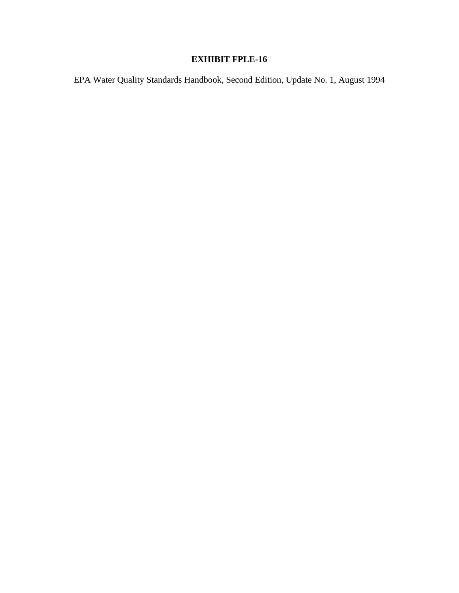## **EXHIBIT FPLE-16**

EPA Water Quality Standards Handbook, Second Edition, Update No. 1, August 1994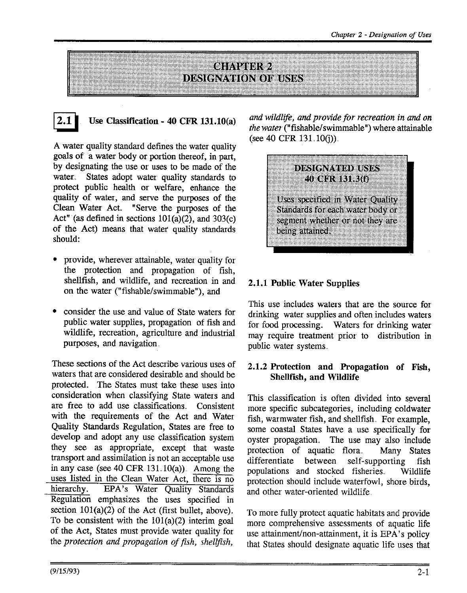



## Use Classification - 40 CFR 131.10(a)

A water quality standard defines the water quality goals of a water body or portion thereof, in part, by designating the use or uses to be made of the water. States adopt water quality standards to protect public health or welfare, enhance the quality of water, and serve the purposes of the Clean Water Act. "Serve the purposes of the Act" (as defined in sections  $101(a)(2)$ , and  $303(c)$ of the Act) means that water quality standards should:

- provide, wherever attainable, water quality for the protection and propagation of fish, shellfish, and wildlife, and recreation in and on the water ("fishable/swimmable"), and
- consider the use and value of State waters for public water supplies, propagation of fish and wildlife, recreation, agriculture and industrial purposes, and navigation.

These sections of the Act describe various uses of waters that are considered desirable and should be protected. The States must take these uses into consideration when classifying State waters and are free to add use classifications. Consistent with the requirements of the Act and Water Quality Standards Regulation, States are free to develop and adopt any use classification system they see as appropriate, except that waste transport and assimilation is not an acceptable use in any case (see 40 CFR 131.10(a)). Among the uses listed in the Clean Water Act, there is no EPA's Water Quality Standards hierarchy. Regulation emphasizes the uses specified in section  $101(a)(2)$  of the Act (first bullet, above). To be consistent with the  $101(a)(2)$  interim goal of the Act, States must provide water quality for the protection and propagation of fish, shellfish.

and wildlife, and provide for recreation in and on the water ("fishable/swimmable") where attainable (see 40 CFR  $131.10(i)$ ).



### 2.1.1 Public Water Supplies

This use includes waters that are the source for drinking water supplies and often includes waters for food processing. Waters for drinking water may require treatment prior to distribution in public water systems.

### 2.1.2 Protection and Propagation of Fish, Shellfish, and Wildlife

This classification is often divided into several more specific subcategories, including coldwater fish, warmwater fish, and shellfish. For example, some coastal States have a use specifically for oyster propagation. The use may also include protection of aquatic flora. Many States differentiate between self-supporting fish populations and stocked fisheries. Wildlife protection should include waterfowl, shore birds. and other water-oriented wildlife.

To more fully protect aquatic habitats and provide more comprehensive assessments of aquatic life use attainment/non-attainment, it is EPA's policy that States should designate aquatic life uses that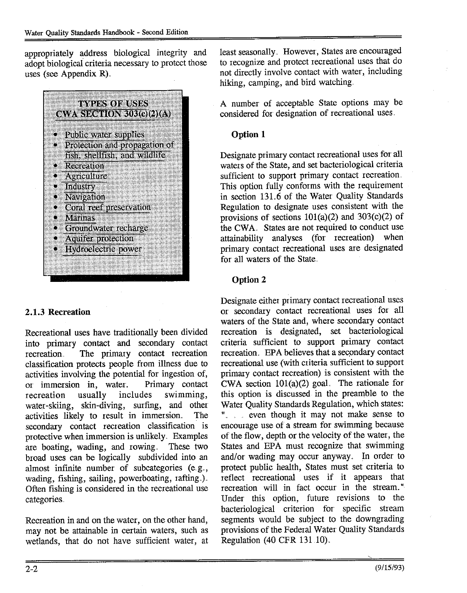appropriately address biological integrity and adopt biological criteria necessary to protect those uses (see Appendix R).



## 2.1.3 Recreation

Recreational uses have traditionally been divided into primary contact and secondary contact The primary contact recreation recreation. classification protects people from illness due to activities involving the potential for ingestion of, or immersion in, water. Primary contact includes swimming, recreation usually water-skiing, skin-diving, surfing, and other activities likely to result in immersion. The secondary contact recreation classification is protective when immersion is unlikely. Examples are boating, wading, and rowing These two broad uses can be logically subdivided into an almost infinite number of subcategories (e.g., wading, fishing, sailing, powerboating, rafting.). Often fishing is considered in the recreational use categories.

Recreation in and on the water, on the other hand, may not be attainable in certain waters, such as wetlands, that do not have sufficient water, at least seasonally. However, States are encouraged to recognize and protect recreational uses that do not directly involve contact with water, including hiking, camping, and bird watching.

A number of acceptable State options may be considered for designation of recreational uses.

## Option 1

Designate primary contact recreational uses for all waters of the State, and set bacteriological criteria sufficient to support primary contact recreation. This option fully conforms with the requirement in section 131.6 of the Water Quality Standards Regulation to designate uses consistent with the provisions of sections  $101(a)(2)$  and  $303(c)(2)$  of the CWA. States are not required to conduct use attainability analyses (for recreation) when primary contact recreational uses are designated for all waters of the State.

## Option 2

Designate either primary contact recreational uses or secondary contact recreational uses for all waters of the State and, where secondary contact recreation is designated, set bacteriological criteria sufficient to support primary contact recreation. EPA believes that a secondary contact recreational use (with criteria sufficient to support primary contact recreation) is consistent with the CWA section  $101(a)(2)$  goal. The rationale for this option is discussed in the preamble to the Water Quality Standards Regulation, which states: " even though it may not make sense to encourage use of a stream for swimming because of the flow, depth or the velocity of the water, the States and EPA must recognize that swimming and/or wading may occur anyway. In order to protect public health, States must set criteria to reflect recreational uses if it appears that recreation will in fact occur in the stream." Under this option, future revisions to the bacteriological criterion for specific stream segments would be subject to the downgrading provisions of the Federal Water Quality Standards Regulation (40 CFR 131.10).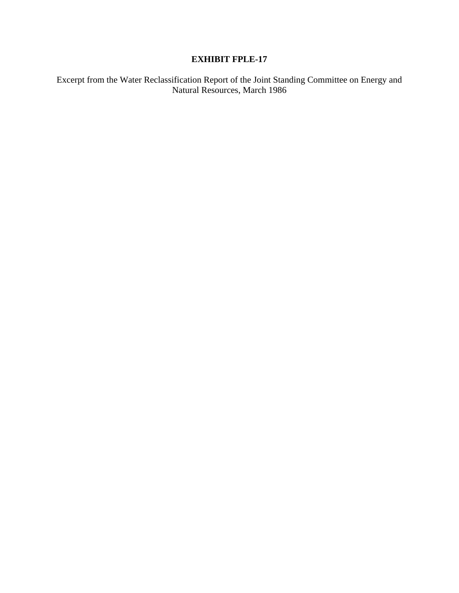## **EXHIBIT FPLE-17**

Excerpt from the Water Reclassification Report of the Joint Standing Committee on Energy and Natural Resources, March 1986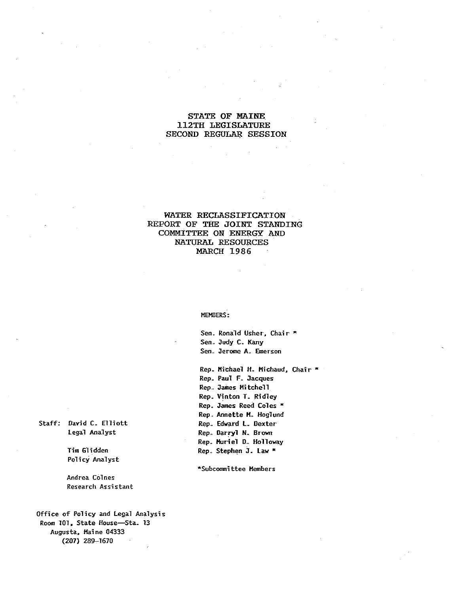### STATE OF MAINE **112TH LEGISLATURE** SECOND REGULAR SESSION

#### WATER RECLASSIFICATION REPORT OF THE JOINT STANDING COMMITTEE ON ENERGY AND NATURAL RESOURCES MARCH 1986

#### MEMBERS:

Sen. Ronald Usher, Chair \* Sen. Judy C. Kany Sen. Jerome A. Emerson

Rep. Michael H. Michaud, Chair \* Rep. Paul F. Jacques Rep. James Mitchell Rep. Vinton T. Ridley Rep. James Reed Coles \* Rep. Annette M. Hoglund Rep. Edward L. Dexter Rep. Darryl N. Brown Rep. Muriel D. Holloway Rep. Stephen J. Law \*

\*Subcommittee Members

Staff: David C. Elliott Legal Analyst

> Tim Glidden Policy Analyst

Andrea Colnes Research Assistant

Office of Policy and Legal Analysis Room 101, State House-Sta. 13 Augusta, Maine 04333  $(207)$  289-1670